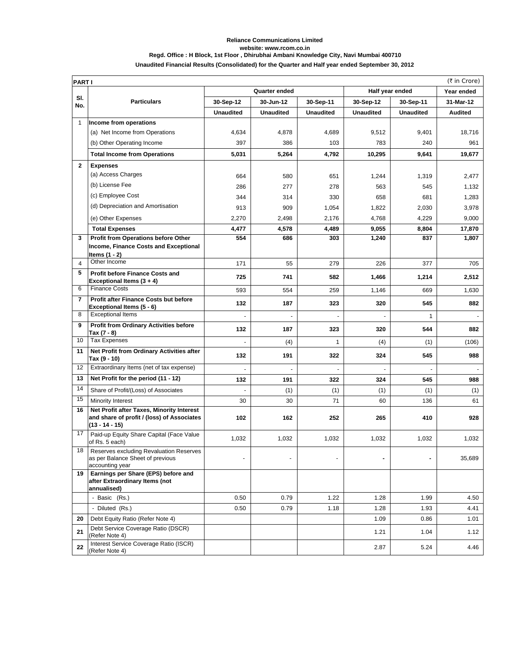## **Reliance Communications Limited website: www.rcom.co.in Regd. Office : H Block, 1st Floor , Dhirubhai Ambani Knowledge City, Navi Mumbai 400710**

## **Unaudited Financial Results (Consolidated) for the Quarter and Half year ended September 30, 2012**

|                | (₹ in Crore)<br><b>PARTI</b>                                                                                |                  |                  |                  |                  |                  |                |  |
|----------------|-------------------------------------------------------------------------------------------------------------|------------------|------------------|------------------|------------------|------------------|----------------|--|
|                | Quarter ended<br>Half year ended                                                                            |                  |                  |                  |                  | Year ended       |                |  |
| SI.<br>No.     | <b>Particulars</b>                                                                                          | 30-Sep-12        | 30-Jun-12        | 30-Sep-11        | 30-Sep-12        | 30-Sep-11        | 31-Mar-12      |  |
|                |                                                                                                             | <b>Unaudited</b> | <b>Unaudited</b> | <b>Unaudited</b> | <b>Unaudited</b> | <b>Unaudited</b> | <b>Audited</b> |  |
| 1              | Income from operations                                                                                      |                  |                  |                  |                  |                  |                |  |
|                | (a) Net Income from Operations                                                                              | 4,634            | 4,878            | 4,689            | 9,512            | 9,401            | 18,716         |  |
|                | (b) Other Operating Income                                                                                  | 397              | 386              | 103              | 783              | 240              | 961            |  |
|                | <b>Total Income from Operations</b>                                                                         | 5,031            | 5,264            | 4,792            | 10,295           | 9,641            | 19,677         |  |
| $\mathbf{2}$   | <b>Expenses</b>                                                                                             |                  |                  |                  |                  |                  |                |  |
|                | (a) Access Charges                                                                                          | 664              | 580              | 651              | 1,244            | 1,319            | 2,477          |  |
|                | (b) License Fee                                                                                             | 286              | 277              | 278              | 563              | 545              | 1,132          |  |
|                | (c) Employee Cost                                                                                           | 344              | 314              | 330              | 658              | 681              | 1,283          |  |
|                | (d) Depreciation and Amortisation                                                                           | 913              | 909              | 1,054            | 1,822            | 2,030            | 3,978          |  |
|                | (e) Other Expenses                                                                                          | 2,270            | 2,498            | 2,176            | 4,768            | 4,229            | 9,000          |  |
|                | <b>Total Expenses</b>                                                                                       | 4,477            | 4,578            | 4,489            | 9,055            | 8,804            | 17,870         |  |
| 3              | Profit from Operations before Other<br>Income, Finance Costs and Exceptional                                | 554              | 686              | 303              | 1,240            | 837              | 1,807          |  |
| 4              | ltems (1 - 2)<br>Other Income                                                                               | 171              | 55               | 279              | 226              | 377              | 705            |  |
| 5              | <b>Profit before Finance Costs and</b>                                                                      |                  |                  |                  |                  |                  |                |  |
|                | Exceptional Items (3 + 4)                                                                                   | 725              | 741              | 582              | 1,466            | 1,214            | 2,512          |  |
| 6              | <b>Finance Costs</b>                                                                                        | 593              | 554              | 259              | 1,146            | 669              | 1,630          |  |
| $\overline{7}$ | Profit after Finance Costs but before<br>Exceptional Items (5 - 6)                                          | 132              | 187              | 323              | 320              | 545              | 882            |  |
| 8              | <b>Exceptional Items</b>                                                                                    |                  |                  |                  |                  | $\mathbf{1}$     |                |  |
| 9              | <b>Profit from Ordinary Activities before</b><br>Tax (7 - 8)                                                | 132              | 187              | 323              | 320              | 544              | 882            |  |
| 10             | <b>Tax Expenses</b>                                                                                         |                  | (4)              | 1                | (4)              | (1)              | (106)          |  |
| 11             | Net Profit from Ordinary Activities after<br>Tax (9 - 10)                                                   | 132              | 191              | 322              | 324              | 545              | 988            |  |
| 12             | Extraordinary Items (net of tax expense)                                                                    |                  |                  |                  |                  |                  |                |  |
| 13             | Net Profit for the period (11 - 12)                                                                         | 132              | 191              | 322              | 324              | 545              | 988            |  |
| 14             | Share of Profit/(Loss) of Associates                                                                        |                  | (1)              | (1)              | (1)              | (1)              | (1)            |  |
| 15             | Minority Interest                                                                                           | 30               | 30               | 71               | 60               | 136              | 61             |  |
| 16             | Net Profit after Taxes, Minority Interest<br>and share of profit / (loss) of Associates<br>$(13 - 14 - 15)$ | 102              | 162              | 252              | 265              | 410              | 928            |  |
| 17             | Paid-up Equity Share Capital (Face Value<br>of Rs. 5 each)                                                  | 1,032            | 1,032            | 1,032            | 1,032            | 1,032            | 1,032          |  |
| 18             | Reserves excluding Revaluation Reserves<br>as per Balance Sheet of previous<br>accounting year              | ٠                |                  |                  |                  |                  | 35,689         |  |
| 19             | Earnings per Share (EPS) before and<br>after Extraordinary Items (not<br>annualised)                        |                  |                  |                  |                  |                  |                |  |
|                | - Basic (Rs.)                                                                                               | 0.50             | 0.79             | 1.22             | 1.28             | 1.99             | 4.50           |  |
|                | - Diluted (Rs.)                                                                                             | 0.50             | 0.79             | 1.18             | 1.28             | 1.93             | 4.41           |  |
| 20             | Debt Equity Ratio (Refer Note 4)                                                                            |                  |                  |                  | 1.09             | 0.86             | 1.01           |  |
| 21             | Debt Service Coverage Ratio (DSCR)<br>(Refer Note 4)                                                        |                  |                  |                  | 1.21             | 1.04             | 1.12           |  |
| 22             | Interest Service Coverage Ratio (ISCR)<br>(Refer Note 4)                                                    |                  |                  |                  | 2.87             | 5.24             | 4.46           |  |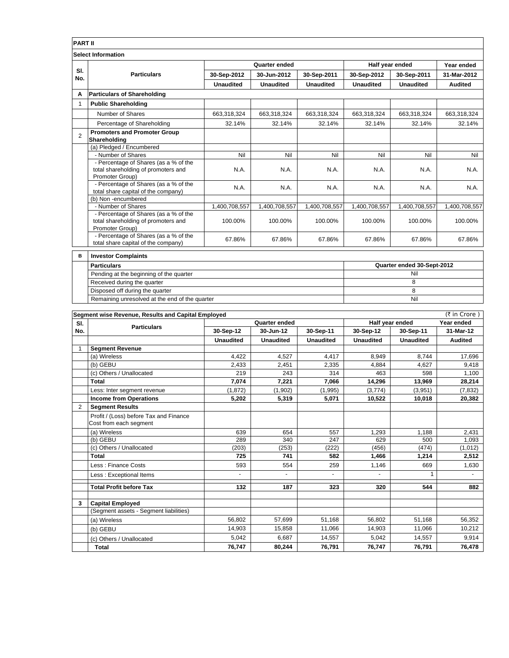|                           | <b>PART II</b>                                                                                  |                  |                  |                  |                            |                  |               |  |  |
|---------------------------|-------------------------------------------------------------------------------------------------|------------------|------------------|------------------|----------------------------|------------------|---------------|--|--|
| <b>Select Information</b> |                                                                                                 |                  |                  |                  |                            |                  |               |  |  |
|                           | <b>Particulars</b>                                                                              | Quarter ended    |                  |                  | Half year ended            | Year ended       |               |  |  |
| SI.<br>No.                |                                                                                                 | 30-Sep-2012      | 30-Jun-2012      | 30-Sep-2011      | 30-Sep-2012                | 30-Sep-2011      | 31-Mar-2012   |  |  |
|                           |                                                                                                 | <b>Unaudited</b> | <b>Unaudited</b> | <b>Unaudited</b> | <b>Unaudited</b>           | <b>Unaudited</b> | Audited       |  |  |
| A                         | <b>Particulars of Shareholding</b>                                                              |                  |                  |                  |                            |                  |               |  |  |
| 1                         | <b>Public Shareholding</b>                                                                      |                  |                  |                  |                            |                  |               |  |  |
|                           | Number of Shares                                                                                | 663,318,324      | 663,318,324      | 663,318,324      | 663,318,324                | 663,318,324      | 663,318,324   |  |  |
|                           | Percentage of Shareholding                                                                      | 32.14%           | 32.14%           | 32.14%           | 32.14%                     | 32.14%           | 32.14%        |  |  |
| $\overline{2}$            | <b>Promoters and Promoter Group</b><br>Shareholding                                             |                  |                  |                  |                            |                  |               |  |  |
|                           | (a) Pledged / Encumbered                                                                        |                  |                  |                  |                            |                  |               |  |  |
|                           | - Number of Shares                                                                              | Nil              | Nil              | Nil              | Nil                        | Nil              | Nil           |  |  |
|                           | - Percentage of Shares (as a % of the<br>total shareholding of promoters and<br>Promoter Group) | N.A.             | N.A.             | N.A.             | N.A.                       | N.A.             | N.A.          |  |  |
|                           | - Percentage of Shares (as a % of the<br>total share capital of the company)                    | N.A.             | N.A.             | N.A.             | N.A.                       | N.A.             | N.A.          |  |  |
|                           | (b) Non-encumbered                                                                              |                  |                  |                  |                            |                  |               |  |  |
|                           | - Number of Shares                                                                              | 1,400,708,557    | 1,400,708,557    | 1,400,708,557    | 1,400,708,557              | 1,400,708,557    | 1,400,708,557 |  |  |
|                           | - Percentage of Shares (as a % of the<br>total shareholding of promoters and<br>Promoter Group) | 100.00%          | 100.00%          | 100.00%          | 100.00%                    | 100.00%          | 100.00%       |  |  |
|                           | - Percentage of Shares (as a % of the<br>total share capital of the company)                    | 67.86%           | 67.86%           | 67.86%           | 67.86%                     | 67.86%           | 67.86%        |  |  |
| в                         | <b>Investor Complaints</b>                                                                      |                  |                  |                  |                            |                  |               |  |  |
|                           | <b>Particulars</b>                                                                              |                  |                  |                  | Quarter ended 30-Sept-2012 |                  |               |  |  |
|                           | Pending at the heginning of the quarter                                                         |                  |                  |                  |                            | Nil              |               |  |  |

| SI. |                                                    | Quarter ended | Half year ended | Year ended    |  |
|-----|----------------------------------------------------|---------------|-----------------|---------------|--|
|     | Segment wise Revenue, Results and Capital Employed |               |                 | (₹ in Crore ) |  |
|     |                                                    |               |                 |               |  |
|     | Remaining unresolved at the end of the quarter     | Nil           |                 |               |  |
|     | Disposed off during the quarter                    |               |                 |               |  |
|     | Received during the quarter                        |               |                 |               |  |
|     | Pending at the beginning of the quarter            | Nil           |                 |               |  |

|                | Jeginent wise Revenue, Results and Capital Employed              |                  | Quarter ended    |                  |                  | $(1)$ in Croic $\overline{I}$<br>Year ended |                |
|----------------|------------------------------------------------------------------|------------------|------------------|------------------|------------------|---------------------------------------------|----------------|
| SI.<br>No.     | <b>Particulars</b>                                               |                  | 30-Jun-12        |                  |                  | Half year ended                             |                |
|                |                                                                  | 30-Sep-12        |                  | 30-Sep-11        | 30-Sep-12        | 30-Sep-11                                   | 31-Mar-12      |
|                |                                                                  | <b>Unaudited</b> | <b>Unaudited</b> | <b>Unaudited</b> | <b>Unaudited</b> | <b>Unaudited</b>                            | <b>Audited</b> |
| 1              | <b>Segment Revenue</b>                                           |                  |                  |                  |                  |                                             |                |
|                | (a) Wireless                                                     | 4,422            | 4,527            | 4,417            | 8,949            | 8,744                                       | 17,696         |
|                | (b) GEBU                                                         | 2,433            | 2,451            | 2,335            | 4,884            | 4.627                                       | 9,418          |
|                | (c) Others / Unallocated                                         | 219              | 243              | 314              | 463              | 598                                         | 1.100          |
|                | <b>Total</b>                                                     | 7,074            | 7,221            | 7,066            | 14,296           | 13,969                                      | 28,214         |
|                | Less: Inter segment revenue                                      | (1, 872)         | (1,902)          | (1,995)          | (3,774)          | (3,951)                                     | (7, 832)       |
|                | <b>Income from Operations</b>                                    | 5,202            | 5,319            | 5,071            | 10,522           | 10,018                                      | 20,382         |
| $\overline{2}$ | <b>Segment Results</b>                                           |                  |                  |                  |                  |                                             |                |
|                | Profit / (Loss) before Tax and Finance<br>Cost from each segment |                  |                  |                  |                  |                                             |                |
|                | (a) Wireless                                                     | 639              | 654              | 557              | 1.293            | 1.188                                       | 2,431          |
|                | (b) GEBU                                                         | 289              | 340              | 247              | 629              | 500                                         | 1,093          |
|                | (c) Others / Unallocated                                         | (203)            | (253)            | (222)            | (456)            | (474)                                       | (1,012)        |
|                | Total                                                            | 725              | 741              | 582              | 1,466            | 1,214                                       | 2,512          |
|                | Less: Finance Costs                                              | 593              | 554              | 259              | 1,146            | 669                                         | 1,630          |
|                | Less: Exceptional Items                                          | $\blacksquare$   | ٠                | ä,               | ٠                |                                             |                |
|                | <b>Total Profit before Tax</b>                                   | 132              | 187              | 323              | 320              | 544                                         | 882            |
| 3              | <b>Capital Employed</b>                                          |                  |                  |                  |                  |                                             |                |
|                | (Segment assets - Segment liabilities)                           |                  |                  |                  |                  |                                             |                |
|                | (a) Wireless                                                     | 56.802           | 57,699           | 51,168           | 56.802           | 51,168                                      | 56,352         |
|                | (b) GEBU                                                         | 14.903           | 15.858           | 11.066           | 14,903           | 11.066                                      | 10,212         |
|                | (c) Others / Unallocated                                         | 5.042            | 6.687            | 14.557           | 5.042            | 14.557                                      | 9.914          |
|                | <b>Total</b>                                                     | 76,747           | 80,244           | 76,791           | 76,747           | 76,791                                      | 76,478         |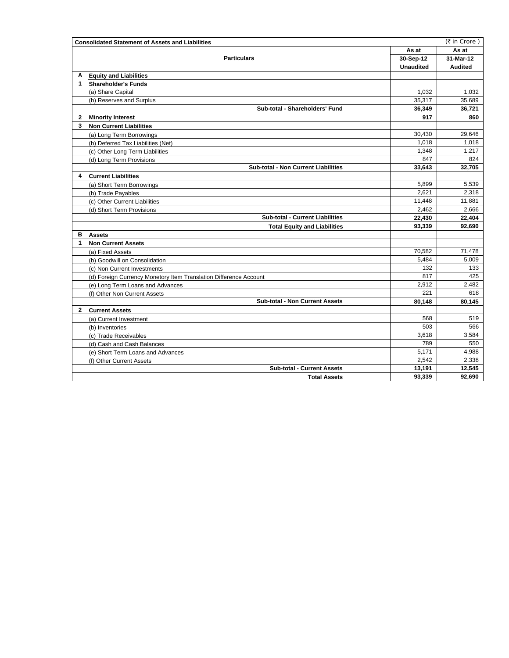|              | <b>Consolidated Statement of Assets and Liabilities</b>           | (₹ in Crore)     |                |  |
|--------------|-------------------------------------------------------------------|------------------|----------------|--|
|              |                                                                   | As at            | As at          |  |
|              | <b>Particulars</b>                                                |                  | 31-Mar-12      |  |
|              |                                                                   | <b>Unaudited</b> | <b>Audited</b> |  |
| A            | <b>Equity and Liabilities</b>                                     |                  |                |  |
| 1            | <b>Shareholder's Funds</b>                                        |                  |                |  |
|              | (a) Share Capital                                                 | 1,032            | 1,032          |  |
|              | (b) Reserves and Surplus                                          | 35,317           | 35,689         |  |
|              | Sub-total - Shareholders' Fund                                    | 36,349           | 36,721         |  |
| $\mathbf{2}$ | <b>Minority Interest</b>                                          | 917              | 860            |  |
| 3            | <b>Non Current Liabilities</b>                                    |                  |                |  |
|              | (a) Long Term Borrowings                                          | 30,430           | 29,646         |  |
|              | (b) Deferred Tax Liabilities (Net)                                | 1,018            | 1,018          |  |
|              | (c) Other Long Term Liabilities                                   | 1.348            | 1,217          |  |
|              | (d) Long Term Provisions                                          | 847              | 824            |  |
|              | <b>Sub-total - Non Current Liabilities</b>                        | 33,643           | 32,705         |  |
| 4            | <b>Current Liabilities</b>                                        |                  |                |  |
|              | (a) Short Term Borrowings                                         | 5,899            | 5,539          |  |
|              | (b) Trade Payables                                                | 2,621            | 2,318          |  |
|              | (c) Other Current Liabilities                                     | 11.448           | 11.881         |  |
|              | (d) Short Term Provisions                                         | 2,462            | 2,666          |  |
|              | <b>Sub-total - Current Liabilities</b>                            | 22,430           | 22,404         |  |
|              | <b>Total Equity and Liabilities</b>                               | 93,339           | 92,690         |  |
| в            | <b>Assets</b>                                                     |                  |                |  |
| 1            | <b>Non Current Assets</b>                                         |                  |                |  |
|              | (a) Fixed Assets                                                  | 70,582           | 71,478         |  |
|              | (b) Goodwill on Consolidation                                     | 5,484            | 5,009          |  |
|              | (c) Non Current Investments                                       | 132              | 133            |  |
|              | (d) Foreign Currency Monetory Item Translation Difference Account | 817              | 425            |  |
|              | (e) Long Term Loans and Advances                                  | 2,912            | 2,482          |  |
|              | (f) Other Non Current Assets                                      | 221              | 618            |  |
|              | <b>Sub-total - Non Current Assets</b>                             | 80,148           | 80,145         |  |
| 2            | <b>Current Assets</b>                                             |                  |                |  |
|              | (a) Current Investment                                            | 568              | 519            |  |
|              | (b) Inventories                                                   | 503              | 566            |  |
|              | (c) Trade Receivables                                             | 3,618            | 3,584          |  |
|              | (d) Cash and Cash Balances                                        | 789              | 550            |  |
|              | (e) Short Term Loans and Advances                                 | 5,171            | 4,988          |  |
|              | (f) Other Current Assets                                          | 2,542            | 2,338          |  |
|              | <b>Sub-total - Current Assets</b>                                 | 13,191           | 12,545         |  |
|              | <b>Total Assets</b>                                               | 93.339           | 92,690         |  |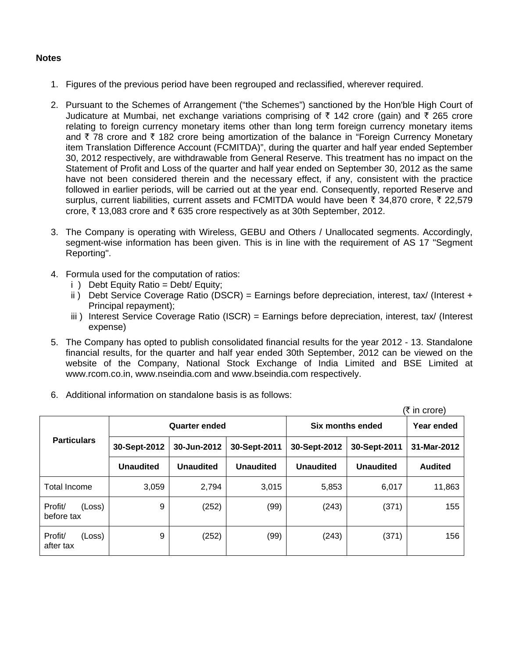## **Notes**

- 1. Figures of the previous period have been regrouped and reclassified, wherever required.
- 2. Pursuant to the Schemes of Arrangement ("the Schemes") sanctioned by the Hon'ble High Court of Judicature at Mumbai, net exchange variations comprising of  $\bar{\tau}$  142 crore (gain) and  $\bar{\tau}$  265 crore relating to foreign currency monetary items other than long term foreign currency monetary items and  $\bar{\tau}$  78 crore and  $\bar{\tau}$  182 crore being amortization of the balance in "Foreign Currency Monetary item Translation Difference Account (FCMITDA)", during the quarter and half year ended September 30, 2012 respectively, are withdrawable from General Reserve. This treatment has no impact on the Statement of Profit and Loss of the quarter and half year ended on September 30, 2012 as the same have not been considered therein and the necessary effect, if any, consistent with the practice followed in earlier periods, will be carried out at the year end. Consequently, reported Reserve and surplus, current liabilities, current assets and FCMITDA would have been  $\bar{\tau}$  34,870 crore,  $\bar{\tau}$  22,579 crore,  $\bar{\tau}$  13,083 crore and  $\bar{\tau}$  635 crore respectively as at 30th September, 2012.
- 3. The Company is operating with Wireless, GEBU and Others / Unallocated segments. Accordingly, segment-wise information has been given. This is in line with the requirement of AS 17 "Segment Reporting".
- 4. Formula used for the computation of ratios:
	- $i$  ) Debt Equity Ratio = Debt/ Equity:
	- ii) Debt Service Coverage Ratio (DSCR) = Earnings before depreciation, interest, tax/ (Interest + Principal repayment);
	- iii ) Interest Service Coverage Ratio (ISCR) = Earnings before depreciation, interest, tax/ (Interest expense)
- 5. The Company has opted to publish consolidated financial results for the year 2012 13. Standalone financial results, for the quarter and half year ended 30th September, 2012 can be viewed on the website of the Company, National Stock Exchange of India Limited and BSE Limited at www.rcom.co.in, www.nseindia.com and www.bseindia.com respectively.
- 6. Additional information on standalone basis is as follows:

| (₹ in crore)                    |                  |                      |                  |                  |                  |                |  |
|---------------------------------|------------------|----------------------|------------------|------------------|------------------|----------------|--|
|                                 |                  | <b>Quarter ended</b> |                  | Six months ended | Year ended       |                |  |
| <b>Particulars</b>              | 30-Sept-2012     | 30-Jun-2012          | 30-Sept-2011     | 30-Sept-2012     | 30-Sept-2011     | 31-Mar-2012    |  |
|                                 | <b>Unaudited</b> | <b>Unaudited</b>     | <b>Unaudited</b> | <b>Unaudited</b> | <b>Unaudited</b> | <b>Audited</b> |  |
| Total Income                    | 3,059            | 2,794                | 3,015            | 5,853            | 6,017            | 11,863         |  |
| Profit/<br>(Loss)<br>before tax | 9                | (252)                | (99)             | (243)            | (371)            | 155            |  |
| Profit/<br>(Loss)<br>after tax  | 9                | (252)                | (99)             | (243)            | (371)            | 156            |  |